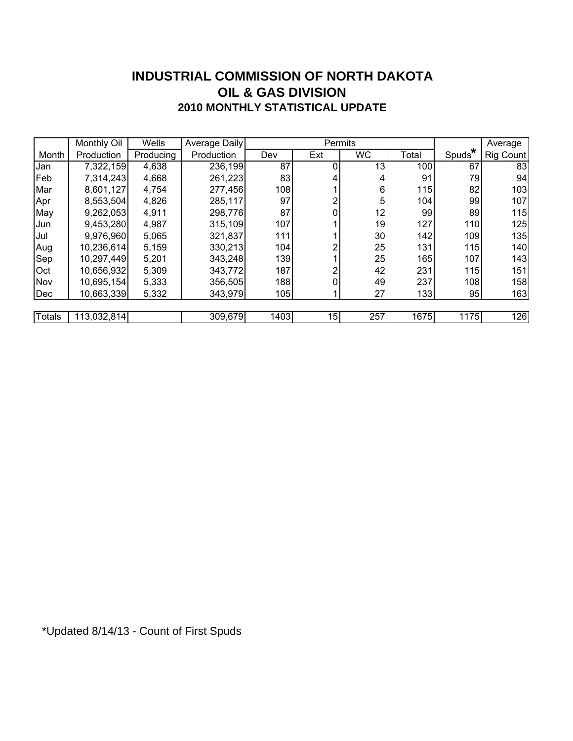### **INDUSTRIAL COMMISSION OF NORTH DAKOTA 2010 MONTHLY STATISTICAL UPDATE OIL & GAS DIVISION**

|               | Monthly Oil | Wells     | <b>Average Daily</b> |      |     | Permits   |       |                    | Average          |
|---------------|-------------|-----------|----------------------|------|-----|-----------|-------|--------------------|------------------|
| Month         | Production  | Producing | Production           | Dev  | Ext | <b>WC</b> | Total | Spuds <sup>®</sup> | <b>Rig Count</b> |
| Jan           | 7,322,159   | 4,638     | 236,199              | 87   | 0   | 13        | 100   | 67                 | 83               |
| Feb           | 7,314,243   | 4,668     | 261,223              | 83   | 4   | 4         | 91    | 79                 | 94               |
| Mar           | 8,601,127   | 4,754     | 277,456              | 108  |     | 6         | 115   | 82                 | 103              |
| Apr           | 8,553,504   | 4,826     | 285,117              | 97   | 2   | 5         | 104   | 99                 | 107              |
| May           | 9,262,053   | 4,911     | 298,776              | 87   | 0   | 12        | 99    | 89                 | 115              |
| Jun           | 9,453,280   | 4,987     | 315,109              | 107  |     | 19        | 127   | 110                | 125              |
| Jul           | 9,976,960   | 5,065     | 321,837              | 111  |     | 30        | 142   | 109                | 135              |
| Aug           | 10,236,614  | 5,159     | 330,213              | 104  | 2   | 25        | 131   | 115                | 140              |
| <b>Sep</b>    | 10,297,449  | 5,201     | 343,248              | 139  |     | 25        | 165   | 107                | 143              |
| Oct           | 10,656,932  | 5,309     | 343,772              | 187  |     | 42        | 231   | 115                | 151              |
| Nov           | 10,695,154  | 5,333     | 356,505              | 188  |     | 49        | 237   | 108                | 158              |
| Dec           | 10,663,339  | 5,332     | 343,979              | 105  |     | 27        | 133   | 95                 | 163              |
|               |             |           |                      |      |     |           |       |                    |                  |
| <b>Totals</b> | 113,032,814 |           | 309,679              | 1403 | 15  | 257       | 1675  | 1175               | 126              |

\*Updated 8/14/13 - Count of First Spuds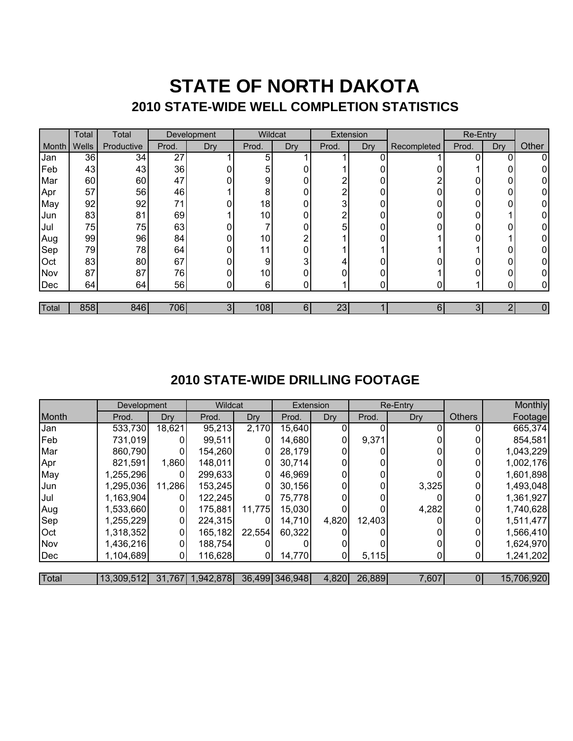## **STATE OF NORTH DAKOTA 2010 STATE-WIDE WELL COMPLETION STATISTICS**

|       | Total | Total      | Development |                | Wildcat |     | Extension |     |             | <b>Re-Entry</b> |     |       |
|-------|-------|------------|-------------|----------------|---------|-----|-----------|-----|-------------|-----------------|-----|-------|
| Month | Wells | Productive | Prod.       | Dry            | Prod.   | Dry | Prod.     | Dry | Recompleted | Prod.           | Dry | Other |
| Jan   | 36    | 34         | 27          |                | 5       |     |           |     |             | 0               |     | 0     |
| Feb   | 43    | 43         | 36          |                | 5       | 0   |           |     |             |                 | 0   |       |
| Mar   | 60    | 60         | 47          |                | 9       | 0   | ົ         |     |             | 0               | 0   |       |
| Apr   | 57    | 56         | 46          |                | 8       | 0   | ⌒         |     |             | 0               | 0   |       |
| May   | 92    | 92         | 71          |                | 18      | 0   | 3         |     |             | 0               | 0   | 0     |
| Jun   | 83    | 81         | 69          |                | 10      | 0   | ົ         | 0   |             | 0               |     | 0     |
| Jul   | 75    | 75         | 63          |                |         | በ   | 5         |     |             | 0               |     | 0     |
| Aug   | 99    | 96         | 84          | 0              | 10      | ⌒   |           |     |             | 0               |     | 0     |
| Sep   | 79    | 78         | 64          | ი              | 11      | 0   |           |     |             |                 | 0   | 0     |
| Oct   | 83    | 80         | 67          |                | 9       | 3   |           |     |             | 0               | 0   | 0     |
| Nov   | 87    | 87         | 76          |                | 10      | 0   | 0         |     |             | 0               | 0   | 0     |
| Dec   | 64    | 64         | 56          | 0.             | 6       | 0   |           |     |             |                 | ი   | 0     |
|       |       |            |             |                |         |     |           |     |             |                 |     |       |
| Total | 858   | 846        | 706         | 3 <sup>l</sup> | 108     | 6   | 23        |     | 6           | 3               |     | 0     |

### **2010 STATE-WIDE DRILLING FOOTAGE**

|       | Development |        | Wildcat          |        | Extension      |       | Re-Entry |       |               | Monthly    |
|-------|-------------|--------|------------------|--------|----------------|-------|----------|-------|---------------|------------|
| Month | Prod.       | Dry    | Prod.            | Dry    | Prod.          | Dry   | Prod.    | Dry   | <b>Others</b> | Footage    |
| Jan   | 533,730     | 18,621 | 95,213           | 2,170  | 15,640         |       |          |       |               | 665,374    |
| Feb   | 731,019     |        | 99,511           |        | 14,680         | 0     | 9,371    |       |               | 854,581    |
| Mar   | 860,790     |        | 154,260          |        | 28,179         |       |          |       |               | 1,043,229  |
| Apr   | 821,591     | 1,860  | 148,011          | 0      | 30,714         |       |          |       |               | 1,002,176  |
| May   | 1,255,296   |        | 299,633          |        | 46,969         |       | 0        |       |               | 1,601,898  |
| Jun   | 1,295,036   | 11,286 | 153,245          |        | 30,156         |       |          | 3,325 |               | 1,493,048  |
| Jul   | 1,163,904   | 0      | 122,245          | 0      | 75,778         |       |          |       |               | 1,361,927  |
| Aug   | 1,533,660   | 0      | 175,881          | 11,775 | 15,030         |       |          | 4,282 |               | 1,740,628  |
| Sep   | 1,255,229   | 0      | 224,315          |        | 14,710         | 4,820 | 12,403   |       |               | 1,511,477  |
| Oct   | 1,318,352   | 0      | 165,182          | 22,554 | 60,322         |       |          |       |               | 1,566,410  |
| Nov   | 1,436,216   |        | 188,754          |        |                |       |          |       |               | 1,624,970  |
| Dec   | 1,104,689   | 0      | 116,628          |        | 14,770         |       | 5,115    |       |               | 1,241,202  |
|       |             |        |                  |        |                |       |          |       |               |            |
| Total | 13,309,512  |        | 31,767 1,942,878 |        | 36,499 346,948 | 4,820 | 26,889   | 7,607 |               | 15,706,920 |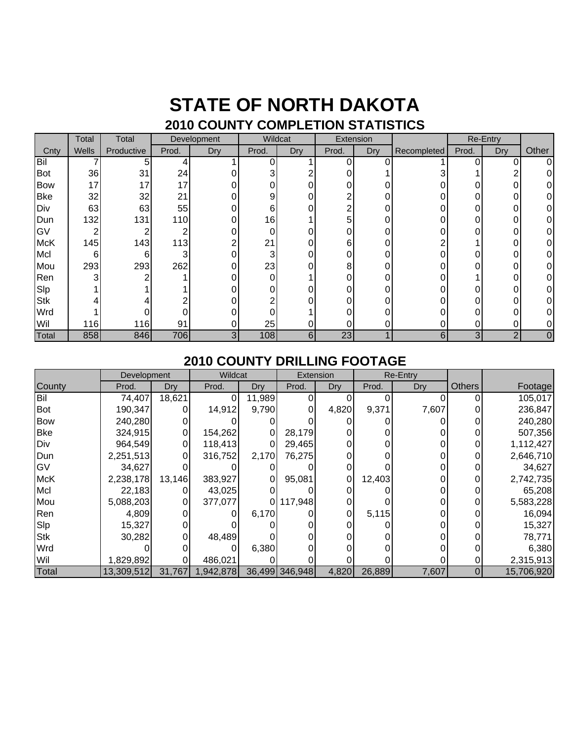### **STATE OF NORTH DAKOTA 2010 COUNTY COMPLETION STATISTICS**

|            | Total | Total      | Development |     | Wildcat |     | Extension |     |             | Re-Entry |            |       |
|------------|-------|------------|-------------|-----|---------|-----|-----------|-----|-------------|----------|------------|-------|
| Cnty       | Wells | Productive | Prod.       | Dry | Prod.   | Dry | Prod.     | Dry | Recompleted | Prod.    | <b>Dry</b> | Other |
| Bil        |       | 5          |             |     | 0       |     | $\Omega$  |     |             |          |            | 0     |
| <b>Bot</b> | 36    | 31         | 24          |     | 3       |     |           |     |             |          |            | 0     |
| <b>Bow</b> | 17    | 17         | 17          |     | 0       |     | 0         |     |             |          |            | 0     |
| <b>Bke</b> | 32    | 32         | 21          |     | 9       |     | ⌒         |     |             |          |            | 0     |
| Div        | 63    | 63         | 55          |     | 6       |     | 2         |     |             |          |            | 0     |
| Dun        | 132   | 131        | 110         |     | 16      |     | 5         |     |             |          |            | 0     |
| GV         | っ     |            |             |     | 0       |     |           |     |             |          |            | 0     |
| <b>McK</b> | 145   | 143        | 113         |     | 21      |     | 6         |     |             |          |            | 0     |
| Mcl        | 6     | 6          |             |     | 3       |     |           |     |             |          |            | 0     |
| Mou        | 293   | 293        | 262         |     | 23      | 0   | 8         |     |             |          |            | 0     |
| Ren        | 3     |            |             |     | 0       |     |           |     |             |          |            | 0     |
| Slp        |       |            |             |     | 0       |     |           |     |             |          |            | 0     |
| <b>Stk</b> |       |            |             |     | ົ       |     |           |     |             |          |            | 0     |
| Wrd        |       |            |             |     | 0       |     |           |     |             |          |            | 0     |
| Wil        | 116   | 116        | 91          |     | 25      |     |           |     |             |          |            | 0     |
| Total      | 858   | 846        | 706         | 3   | 108     | 6   | 23        |     | 6           | 3        | ⌒          | 0     |

#### **2010 COUNTY DRILLING FOOTAGE**

|            | Development |        | Wildcat   |        | Extension      |       | <b>Re-Entry</b> |       |                |            |
|------------|-------------|--------|-----------|--------|----------------|-------|-----------------|-------|----------------|------------|
| County     | Prod.       | Dry    | Prod.     | Dry    | Prod.          | Dry   | Prod.           | Dry   | <b>Others</b>  | Footage    |
| Bil        | 74,407      | 18,621 | 0         | 11,989 |                |       |                 |       | 0              | 105,017    |
| <b>Bot</b> | 190,347     |        | 14,912    | 9,790  |                | 4,820 | 9,371           | 7,607 |                | 236,847    |
| <b>Bow</b> | 240,280     |        |           |        |                |       |                 |       |                | 240,280    |
| <b>Bke</b> | 324,915     |        | 154,262   | 0      | 28,179         |       |                 |       |                | 507,356    |
| Div        | 964,549     |        | 118,413   |        | 29,465         |       |                 |       |                | 1,112,427  |
| Dun        | 2,251,513   |        | 316,752   | 2,170  | 76,275         |       |                 |       |                | 2,646,710  |
| GV         | 34,627      |        |           |        |                |       |                 |       |                | 34,627     |
| <b>McK</b> | 2,238,178   | 13,146 | 383,927   | 0      | 95,081         | 0     | 12,403          |       |                | 2,742,735  |
| Mcl        | 22,183      |        | 43,025    |        |                |       |                 |       |                | 65,208     |
| Mou        | 5,088,203   |        | 377,077   | 01     | 117,948        |       |                 |       |                | 5,583,228  |
| Ren        | 4,809       |        |           | 6,170  |                | 0     | 5,115           |       |                | 16,094     |
| Slp        | 15,327      |        |           |        |                |       |                 |       |                | 15,327     |
| <b>Stk</b> | 30,282      |        | 48,489    |        |                |       |                 |       |                | 78,771     |
| Wrd        |             |        |           | 6,380  |                |       |                 |       |                | 6,380      |
| Wil        | 1,829,892   |        | 486,021   |        |                |       |                 |       |                | 2,315,913  |
| Total      | 13,309,512  | 31,767 | 1,942,878 |        | 36,499 346,948 | 4,820 | 26,889          | 7,607 | $\overline{0}$ | 15,706,920 |